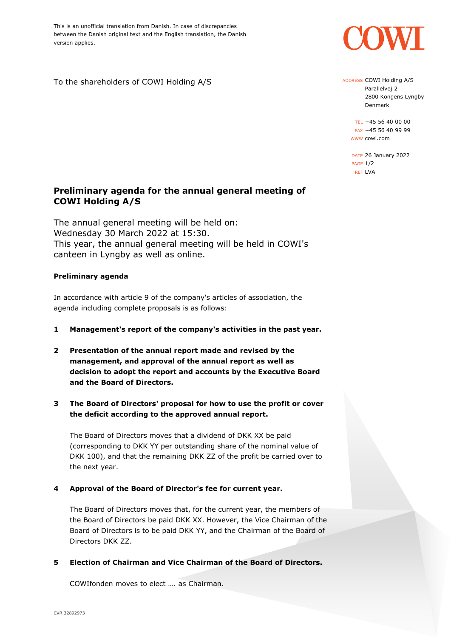This is an unofficial translation from Danish. In case of discrepancies between the Danish original text and the English translation, the Danish version applies.

To the shareholders of COWI Holding A/S

# **Preliminary agenda for the annual general meeting of COWI Holding A/S**

The annual general meeting will be held on: Wednesday 30 March 2022 at 15:30. This year, the annual general meeting will be held in COWI's canteen in Lyngby as well as online.

## **Preliminary agenda**

In accordance with article 9 of the company's articles of association, the agenda including complete proposals is as follows:

- **1 Management's report of the company's activities in the past year.**
- **2 Presentation of the annual report made and revised by the management, and approval of the annual report as well as decision to adopt the report and accounts by the Executive Board and the Board of Directors.**
- **3 The Board of Directors' proposal for how to use the profit or cover the deficit according to the approved annual report.**

The Board of Directors moves that a dividend of DKK XX be paid (corresponding to DKK YY per outstanding share of the nominal value of DKK 100), and that the remaining DKK ZZ of the profit be carried over to the next year.

## **4 Approval of the Board of Director's fee for current year.**

The Board of Directors moves that, for the current year, the members of the Board of Directors be paid DKK XX. However, the Vice Chairman of the Board of Directors is to be paid DKK YY, and the Chairman of the Board of Directors DKK ZZ.

#### **5 Election of Chairman and Vice Chairman of the Board of Directors.**

COWIfonden moves to elect …. as Chairman.

ADDRESS COWI Holding A/S Parallelvej 2 2800 Kongens Lyngby

Denmark

TEL +45 56 40 00 00 FAX +45 56 40 99 99 WWW cowi.com

DATE 26 January 2022 PAGE 1/2 REF LVA